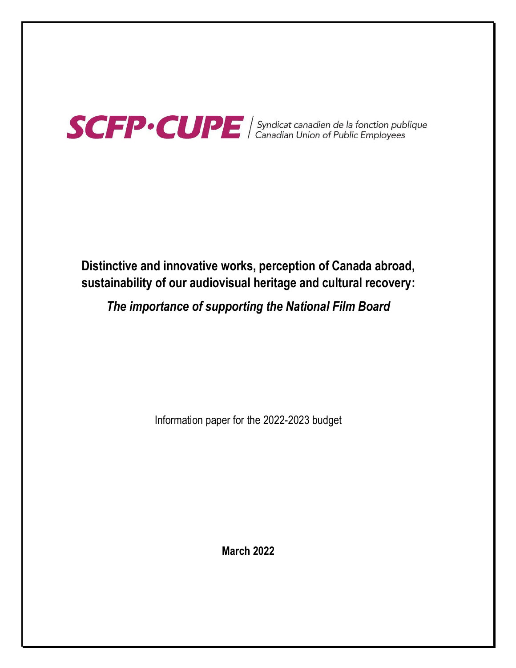

# **Distinctive and innovative works, perception of Canada abroad, sustainability of our audiovisual heritage and cultural recovery:**

# *The importance of supporting the National Film Board*

Information paper for the 2022-2023 budget

**March 2022**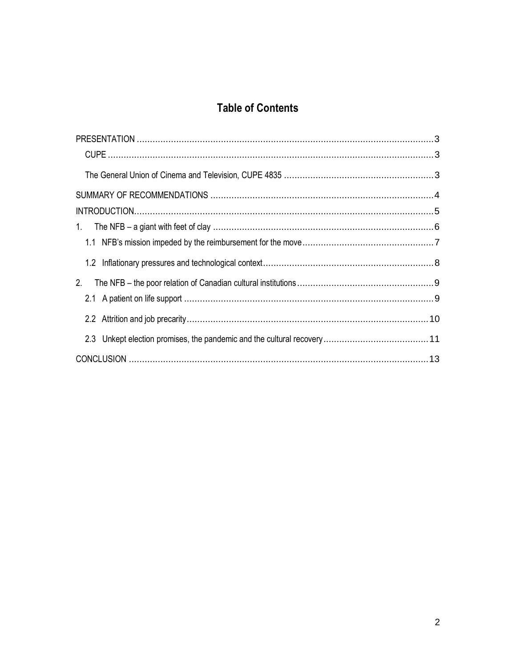# **Table of Contents**

| 2. |  |
|----|--|
|    |  |
|    |  |
|    |  |
|    |  |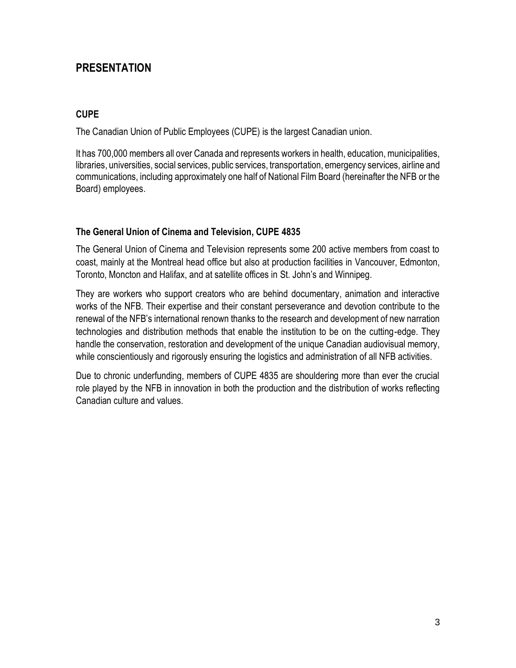# <span id="page-2-0"></span>**PRESENTATION**

#### <span id="page-2-1"></span>**CUPE**

The Canadian Union of Public Employees (CUPE) is the largest Canadian union.

It has 700,000 members all over Canada and represents workers in health, education, municipalities, libraries, universities, social services, public services, transportation, emergency services, airline and communications, including approximately one half of National Film Board (hereinafter the NFB or the Board) employees.

### <span id="page-2-2"></span>**The General Union of Cinema and Television, CUPE 4835**

The General Union of Cinema and Television represents some 200 active members from coast to coast, mainly at the Montreal head office but also at production facilities in Vancouver, Edmonton, Toronto, Moncton and Halifax, and at satellite offices in St. John's and Winnipeg.

They are workers who support creators who are behind documentary, animation and interactive works of the NFB. Their expertise and their constant perseverance and devotion contribute to the renewal of the NFB's international renown thanks to the research and development of new narration technologies and distribution methods that enable the institution to be on the cutting-edge. They handle the conservation, restoration and development of the unique Canadian audiovisual memory, while conscientiously and rigorously ensuring the logistics and administration of all NFB activities.

Due to chronic underfunding, members of CUPE 4835 are shouldering more than ever the crucial role played by the NFB in innovation in both the production and the distribution of works reflecting Canadian culture and values.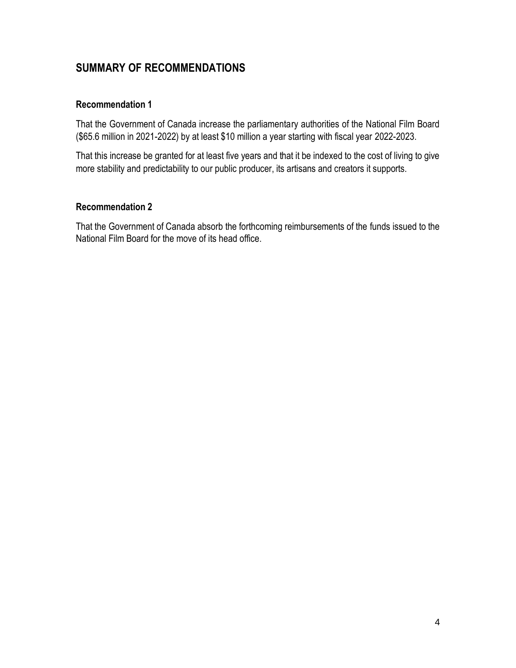# <span id="page-3-0"></span>**SUMMARY OF RECOMMENDATIONS**

### **Recommendation 1**

That the Government of Canada increase the parliamentary authorities of the National Film Board (\$65.6 million in 2021-2022) by at least \$10 million a year starting with fiscal year 2022-2023.

That this increase be granted for at least five years and that it be indexed to the cost of living to give more stability and predictability to our public producer, its artisans and creators it supports.

### **Recommendation 2**

That the Government of Canada absorb the forthcoming reimbursements of the funds issued to the National Film Board for the move of its head office.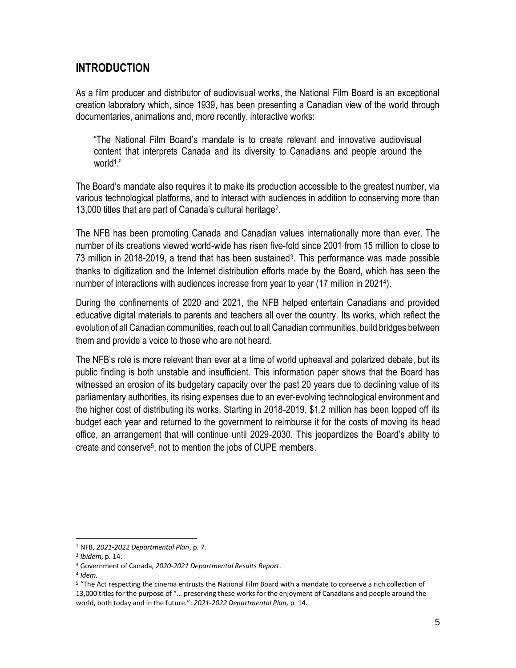# <span id="page-4-0"></span>**INTRODUCTION**

As a film producer and distributor of audiovisual works, the National Film Board is an exceptional creation laboratory which, since 1939, has been presenting a Canadian view of the world through documentaries, animations and, more recently, interactive works:

"The National Film Board's mandate is to create relevant and innovative audiovisual content that interprets Canada and its diversity to Canadians and people around the world<sup>1</sup> ."

The Board's mandate also requires it to make its production accessible to the greatest number, via various technological platforms, and to interact with audiences in addition to conserving more than 13,000 titles that are part of Canada's cultural heritage<sup>2</sup> .

The NFB has been promoting Canada and Canadian values internationally more than ever. The number of its creations viewed world-wide has risen five-fold since 2001 from 15 million to close to 73 million in 2018-2019, a trend that has been sustained<sup>3</sup>. This performance was made possible thanks to digitization and the Internet distribution efforts made by the Board, which has seen the number of interactions with audiences increase from year to year (17 million in 2021<sup>4</sup> ).

During the confinements of 2020 and 2021, the NFB helped entertain Canadians and provided educative digital materials to parents and teachers all over the country. Its works, which reflect the evolution of all Canadian communities, reach out to all Canadian communities, build bridges between them and provide a voice to those who are not heard.

The NFB's role is more relevant than ever at a time of world upheaval and polarized debate, but its public finding is both unstable and insufficient. This information paper shows that the Board has witnessed an erosion of its budgetary capacity over the past 20 years due to declining value of its parliamentary authorities, its rising expenses due to an ever-evolving technological environment and the higher cost of distributing its works. Starting in 2018-2019, \$1.2 million has been lopped off its budget each year and returned to the government to reimburse it for the costs of moving its head office, an arrangement that will continue until 2029-2030. This jeopardizes the Board's ability to create and conserve<sup>5</sup>, not to mention the jobs of CUPE members.

<sup>1</sup> NFB, *2021-2022 Departmental Plan*, p. 7.

<sup>2</sup> *Ibidem*, p. 14.

<sup>3</sup> Government of Canada, *2020-2021 Departmental Results Report*.

<sup>4</sup> *Idem*.

<sup>5</sup> "The Act respecting the cinema entrusts the National Film Board with a mandate to conserve a rich collection of 13,000 titles for the purpose of "… preserving these works for the enjoyment of Canadians and people around the world, both today and in the future.": *2021-2022 Departmental Plan,* p. 14.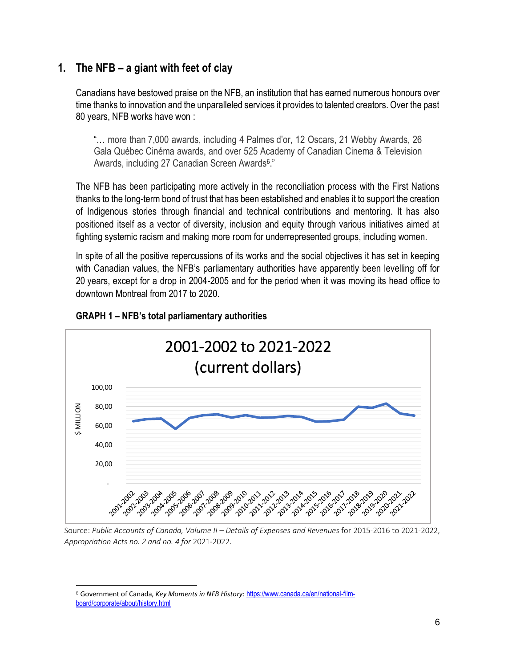# <span id="page-5-0"></span>**1. The NFB – a giant with feet of clay**

Canadians have bestowed praise on the NFB, an institution that has earned numerous honours over time thanks to innovation and the unparalleled services it provides to talented creators. Over the past 80 years, NFB works have won :

"… more than 7,000 awards, including 4 Palmes d'or, 12 Oscars, 21 Webby Awards, 26 Gala Québec Cinéma awards, and over 525 Academy of Canadian Cinema & Television Awards, including 27 Canadian Screen Awards<sup>6</sup>."

The NFB has been participating more actively in the reconciliation process with the First Nations thanks to the long-term bond of trust that has been established and enables it to support the creation of Indigenous stories through financial and technical contributions and mentoring. It has also positioned itself as a vector of diversity, inclusion and equity through various initiatives aimed at fighting systemic racism and making more room for underrepresented groups, including women.

In spite of all the positive repercussions of its works and the social objectives it has set in keeping with Canadian values, the NFB's parliamentary authorities have apparently been levelling off for 20 years, except for a drop in 2004-2005 and for the period when it was moving its head office to downtown Montreal from 2017 to 2020.



### **GRAPH 1 – NFB's total parliamentary authorities**

Source: *Public Accounts of Canada, Volume II – Details of Expenses and Revenues* for 2015-2016 to 2021-2022, *Appropriation Acts no. 2 and no. 4 for* 2021-2022.

<sup>&</sup>lt;sup>6</sup> Government of Canada, *Key Moments in NFB History*: [https://www.canada.ca/en/national-film](https://www.canada.ca/en/national-film-board/corporate/about/history.html)[board/corporate/about/history.html](https://www.canada.ca/en/national-film-board/corporate/about/history.html)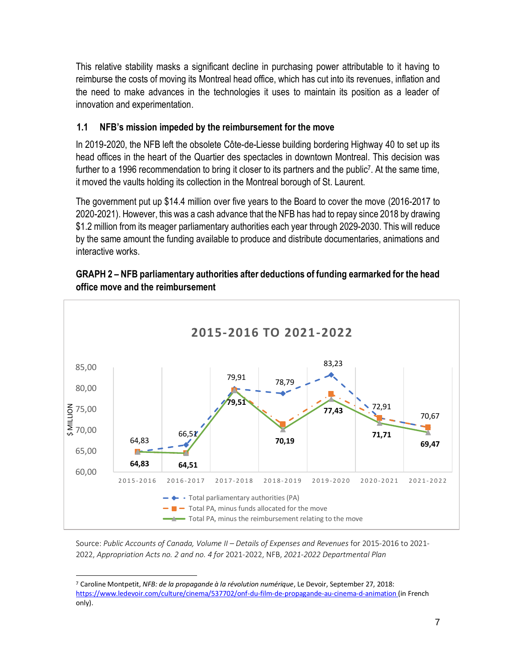This relative stability masks a significant decline in purchasing power attributable to it having to reimburse the costs of moving its Montreal head office, which has cut into its revenues, inflation and the need to make advances in the technologies it uses to maintain its position as a leader of innovation and experimentation.

## <span id="page-6-0"></span>**1.1 NFB's mission impeded by the reimbursement for the move**

In 2019-2020, the NFB left the obsolete Côte-de-Liesse building bordering Highway 40 to set up its head offices in the heart of the Quartier des spectacles in downtown Montreal. This decision was further to a 1996 recommendation to bring it closer to its partners and the public<sup>7</sup>. At the same time, it moved the vaults holding its collection in the Montreal borough of St. Laurent.

The government put up \$14.4 million over five years to the Board to cover the move (2016-2017 to 2020-2021). However, this was a cash advance that the NFB has had to repay since 2018 by drawing \$1.2 million from its meager parliamentary authorities each year through 2029-2030. This will reduce by the same amount the funding available to produce and distribute documentaries, animations and interactive works.

### **GRAPH 2 – NFB parliamentary authorities after deductions of funding earmarked for the head office move and the reimbursement**



Source: *Public Accounts of Canada, Volume II – Details of Expenses and Revenues* for 2015-2016 to 2021- 2022, *Appropriation Acts no. 2 and no. 4 for* 2021-2022, NFB, *2021-2022 Departmental Plan*

<sup>7</sup> Caroline Montpetit, *NFB: de la propagande à la révolution numérique*, Le Devoir, September 27, 2018: <https://www.ledevoir.com/culture/cinema/537702/onf-du-film-de-propagande-au-cinema-d-animation> (in French only).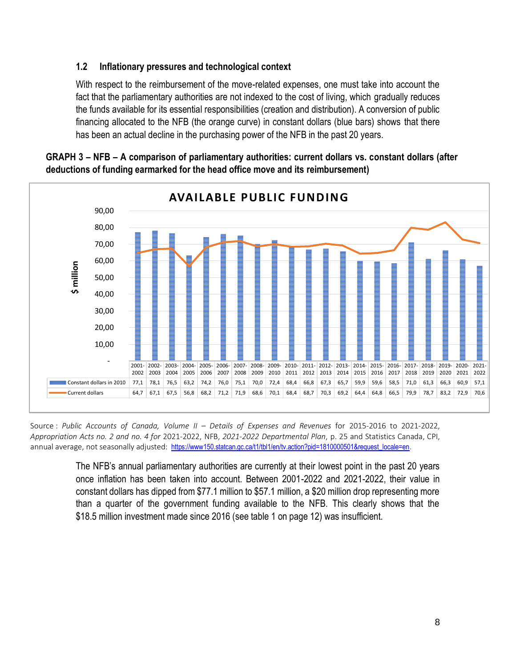### <span id="page-7-0"></span>**1.2 Inflationary pressures and technological context**

With respect to the reimbursement of the move-related expenses, one must take into account the fact that the parliamentary authorities are not indexed to the cost of living, which gradually reduces the funds available for its essential responsibilities (creation and distribution). A conversion of public financing allocated to the NFB (the orange curve) in constant dollars (blue bars) shows that there has been an actual decline in the purchasing power of the NFB in the past 20 years.



#### **GRAPH 3 – NFB – A comparison of parliamentary authorities: current dollars vs. constant dollars (after deductions of funding earmarked for the head office move and its reimbursement)**

Source : *Public Accounts of Canada, Volume II – Details of Expenses and Revenues* for 2015-2016 to 2021-2022, *Appropriation Acts no. 2 and no. 4 for* 2021-2022, NFB, *2021-2022 Departmental Plan*, p. 25 and Statistics Canada, CPI, annual average, not seasonally adjusted: [https://www150.statcan.gc.ca/t1/tbl1/en/tv.action?pid=1810000501&request\\_locale=en](https://www150.statcan.gc.ca/t1/tbl1/en/tv.action?pid=1810000501&request_locale=en).

> The NFB's annual parliamentary authorities are currently at their lowest point in the past 20 years once inflation has been taken into account. Between 2001-2022 and 2021-2022, their value in constant dollars has dipped from \$77.1 million to \$57.1 million, a \$20 million drop representing more than a quarter of the government funding available to the NFB. This clearly shows that the \$18.5 million investment made since 2016 (see table 1 on page 12) was insufficient.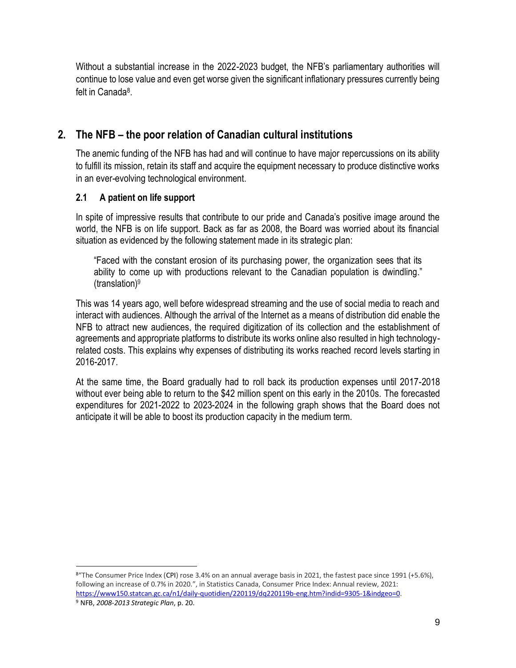Without a substantial increase in the 2022-2023 budget, the NFB's parliamentary authorities will continue to lose value and even get worse given the significant inflationary pressures currently being felt in Canada<sup>8</sup> .

# <span id="page-8-0"></span>**2. The NFB – the poor relation of Canadian cultural institutions**

The anemic funding of the NFB has had and will continue to have major repercussions on its ability to fulfill its mission, retain its staff and acquire the equipment necessary to produce distinctive works in an ever-evolving technological environment.

## <span id="page-8-1"></span>**2.1 A patient on life support**

In spite of impressive results that contribute to our pride and Canada's positive image around the world, the NFB is on life support. Back as far as 2008, the Board was worried about its financial situation as evidenced by the following statement made in its strategic plan:

"Faced with the constant erosion of its purchasing power, the organization sees that its ability to come up with productions relevant to the Canadian population is dwindling."  $(translation)<sup>9</sup>$ 

This was 14 years ago, well before widespread streaming and the use of social media to reach and interact with audiences. Although the arrival of the Internet as a means of distribution did enable the NFB to attract new audiences, the required digitization of its collection and the establishment of agreements and appropriate platforms to distribute its works online also resulted in high technologyrelated costs. This explains why expenses of distributing its works reached record levels starting in 2016-2017.

At the same time, the Board gradually had to roll back its production expenses until 2017-2018 without ever being able to return to the \$42 million spent on this early in the 2010s. The forecasted expenditures for 2021-2022 to 2023-2024 in the following graph shows that the Board does not anticipate it will be able to boost its production capacity in the medium term.

<sup>8&</sup>quot;The Consumer Price Index (CPI) rose 3.4% on an annual average basis in 2021, the fastest pace since 1991 (+5.6%), following an increase of 0.7% in 2020.", in Statistics Canada, Consumer Price Index: Annual review, 2021: [https://www150.statcan.gc.ca/n1/daily-quotidien/220119/dq220119b-eng.htm?indid=9305-1&indgeo=0.](https://www150.statcan.gc.ca/n1/daily-quotidien/220119/dq220119b-eng.htm?indid=9305-1&indgeo=0) <sup>9</sup> NFB, *2008-2013 Strategic Plan*, p. 20.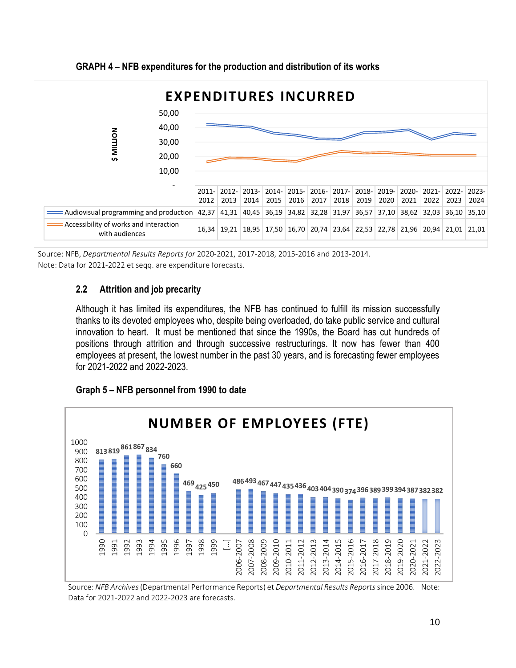

**GRAPH 4 – NFB expenditures for the production and distribution of its works**

Source: NFB, *Departmental Results Reports for* 2020-2021, 2017-2018, 2015-2016 and 2013-2014. Note: Data for 2021-2022 et seqq. are expenditure forecasts.

## <span id="page-9-0"></span>**2.2 Attrition and job precarity**

Although it has limited its expenditures, the NFB has continued to fulfill its mission successfully thanks to its devoted employees who, despite being overloaded, do take public service and cultural innovation to heart. It must be mentioned that since the 1990s, the Board has cut hundreds of positions through attrition and through successive restructurings. It now has fewer than 400 employees at present, the lowest number in the past 30 years, and is forecasting fewer employees for 2021-2022 and 2022-2023.

## **Graph 5 – NFB personnel from 1990 to date**



Source: *NFB Archives*(Departmental Performance Reports) et *Departmental Results Reports*since 2006. Note: Data for 2021-2022 and 2022-2023 are forecasts.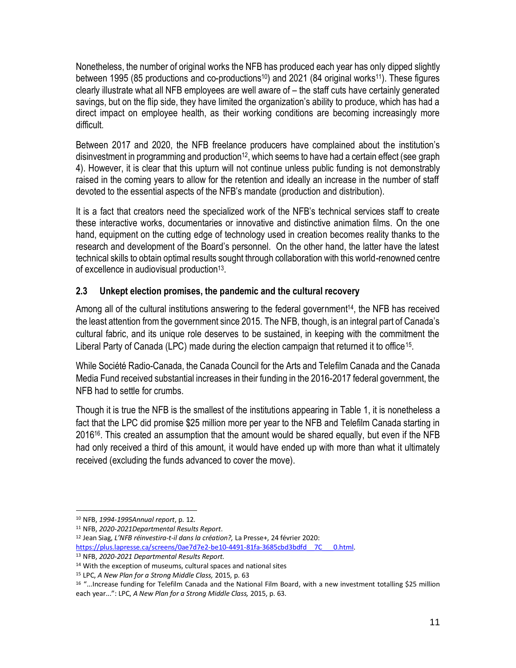Nonetheless, the number of original works the NFB has produced each year has only dipped slightly between 1995 (85 productions and co-productions<sup>10</sup>) and 2021 (84 original works<sup>11</sup>). These figures clearly illustrate what all NFB employees are well aware of – the staff cuts have certainly generated savings, but on the flip side, they have limited the organization's ability to produce, which has had a direct impact on employee health, as their working conditions are becoming increasingly more difficult.

Between 2017 and 2020, the NFB freelance producers have complained about the institution's disinvestment in programming and production<sup>12</sup>, which seems to have had a certain effect (see graph 4). However, it is clear that this upturn will not continue unless public funding is not demonstrably raised in the coming years to allow for the retention and ideally an increase in the number of staff devoted to the essential aspects of the NFB's mandate (production and distribution).

It is a fact that creators need the specialized work of the NFB's technical services staff to create these interactive works, documentaries or innovative and distinctive animation films. On the one hand, equipment on the cutting edge of technology used in creation becomes reality thanks to the research and development of the Board's personnel. On the other hand, the latter have the latest technical skills to obtain optimal results sought through collaboration with this world-renowned centre of excellence in audiovisual production<sup>13</sup>.

## <span id="page-10-0"></span>**2.3 Unkept election promises, the pandemic and the cultural recovery**

Among all of the cultural institutions answering to the federal government<sup>14</sup>, the NFB has received the least attention from the government since 2015. The NFB, though, is an integral part of Canada's cultural fabric, and its unique role deserves to be sustained, in keeping with the commitment the Liberal Party of Canada (LPC) made during the election campaign that returned it to office<sup>15</sup>.

While Société Radio-Canada, the Canada Council for the Arts and Telefilm Canada and the Canada Media Fund received substantial increases in their funding in the 2016-2017 federal government, the NFB had to settle for crumbs.

Though it is true the NFB is the smallest of the institutions appearing in Table 1, it is nonetheless a fact that the LPC did promise \$25 million more per year to the NFB and Telefilm Canada starting in 2016<sup>16</sup>. This created an assumption that the amount would be shared equally, but even if the NFB had only received a third of this amount, it would have ended up with more than what it ultimately received (excluding the funds advanced to cover the move).

<sup>12</sup> Jean Siag, *L'NFB réinvestira-t-il dans la création?,* La Presse+, 24 février 2020: https://plus.lapresse.ca/screens/0ae7d7e2-be10-4491-81fa-3685cbd3bdfd 7C 0.html.

<sup>10</sup> NFB, *1994-1995Annual report*, p. 12.

<sup>11</sup> NFB, *2020-2021Departmental Results Report*.

<sup>13</sup> NFB, *2020-2021 Departmental Results Report.*

<sup>14</sup> With the exception of museums, cultural spaces and national sites

<sup>15</sup> LPC, *A New Plan for a Strong Middle Class,* 2015, p. 63

<sup>16</sup> "...Increase funding for Telefilm Canada and the National Film Board, with a new investment totalling \$25 million each year...": LPC, *A New Plan for a Strong Middle Class,* 2015, p. 63.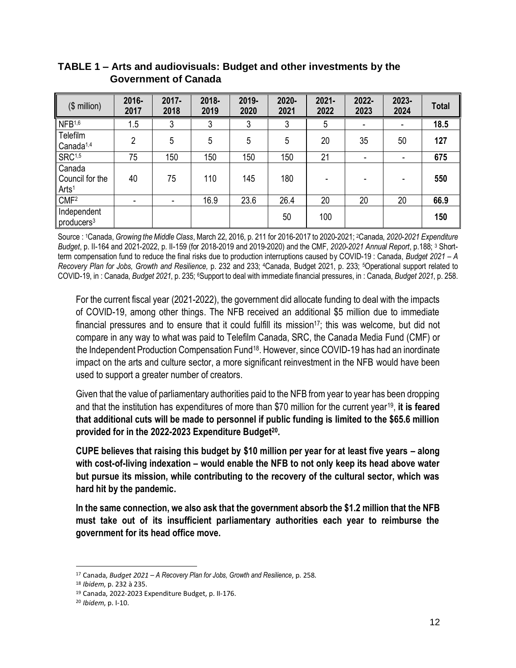| $($$ million $)$                               | 2016-<br>2017  | 2017-<br>2018 | 2018-<br>2019 | 2019-<br>2020 | $2020 -$<br>2021 | $2021 -$<br>2022 | 2022-<br>2023 | 2023-<br>2024 | <b>Total</b> |
|------------------------------------------------|----------------|---------------|---------------|---------------|------------------|------------------|---------------|---------------|--------------|
| NFB <sub>1,6</sub>                             | 1.5            | 3             | 3             | 3             | 3                | 5                |               |               | 18.5         |
| Telefilm<br>Canada $1,4$                       | $\overline{2}$ | 5             | 5             | 5             | 5                | 20               | 35            | 50            | 127          |
| SRC <sup>1,5</sup>                             | 75             | 150           | 150           | 150           | 150              | 21               | ۰             | ۰             | 675          |
| Canada<br>Council for the<br>Arts <sup>1</sup> | 40             | 75            | 110           | 145           | 180              |                  |               |               | 550          |
| CMF <sup>2</sup>                               | ۰              |               | 16.9          | 23.6          | 26.4             | 20               | 20            | 20            | 66.9         |
| Independent<br>producers <sup>3</sup>          |                |               |               |               | 50               | 100              |               |               | 150          |

### **TABLE 1 – Arts and audiovisuals: Budget and other investments by the Government of Canada**

Source : 1Canada, *Growing the Middle Class*, March 22, 2016, p. 211 for 2016-2017 to 2020-2021; 2Canada, *2020-2021 Expenditure Budget*, p. II-164 and 2021-2022, p. II-159 (for 2018-2019 and 2019-2020) and the CMF, *2020-2021 Annual Report*, p.188; <sup>3</sup> Shortterm compensation fund to reduce the final risks due to production interruptions caused by COVID-19 : Canada, *Budget 2021 – A Recovery Plan for Jobs, Growth and Resilience,* p. 232 and 233; <sup>4</sup>Canada, Budget 2021, p. 233; 5Operational support related to COVID-19, in : Canada, *Budget 2021*, p. 235; 6Support to deal with immediate financial pressures, in : Canada, *Budget 2021*, p. 258.

For the current fiscal year (2021-2022), the government did allocate funding to deal with the impacts of COVID-19, among other things. The NFB received an additional \$5 million due to immediate financial pressures and to ensure that it could fulfill its mission<sup>17</sup>; this was welcome, but did not compare in any way to what was paid to Telefilm Canada, SRC, the Canada Media Fund (CMF) or the Independent Production Compensation Fund<sup>18</sup>. However, since COVID-19 has had an inordinate impact on the arts and culture sector, a more significant reinvestment in the NFB would have been used to support a greater number of creators.

Given that the value of parliamentary authorities paid to the NFB from year to year has been dropping and that the institution has expenditures of more than \$70 million for the current year<sup>19</sup> , **it is feared that additional cuts will be made to personnel if public funding is limited to the \$65.6 million provided for in the 2022-2023 Expenditure Budget<sup>20</sup> .** 

**CUPE believes that raising this budget by \$10 million per year for at least five years – along with cost-of-living indexation – would enable the NFB to not only keep its head above water but pursue its mission, while contributing to the recovery of the cultural sector, which was hard hit by the pandemic.**

**In the same connection, we also ask that the government absorb the \$1.2 million that the NFB must take out of its insufficient parliamentary authorities each year to reimburse the government for its head office move.**

<sup>17</sup> Canada, *Budget 2021 – A Recovery Plan for Jobs, Growth and Resilience*, p. 258.

<sup>18</sup> *Ibidem*, p. 232 à 235.

<sup>19</sup> Canada, 2022-2023 Expenditure Budget, p. II-176.

<sup>20</sup> *Ibidem*, p. I-10.